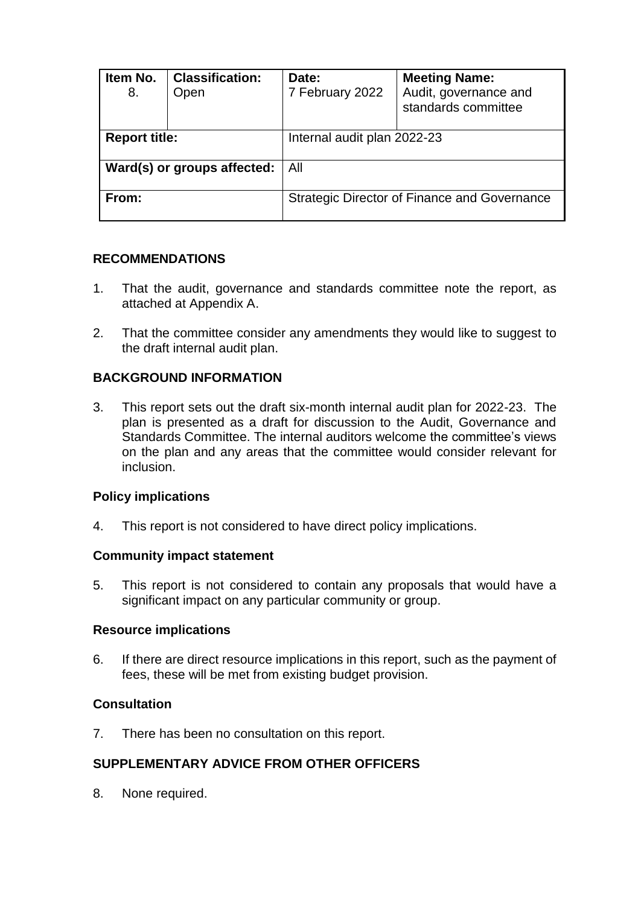| Item No.<br>8.              | <b>Classification:</b><br>Open | Date:<br>7 February 2022    | <b>Meeting Name:</b><br>Audit, governance and<br>standards committee |  |
|-----------------------------|--------------------------------|-----------------------------|----------------------------------------------------------------------|--|
| <b>Report title:</b>        |                                | Internal audit plan 2022-23 |                                                                      |  |
| Ward(s) or groups affected: |                                | All                         |                                                                      |  |
| From:                       |                                |                             | Strategic Director of Finance and Governance                         |  |

## **RECOMMENDATIONS**

- 1. That the audit, governance and standards committee note the report, as attached at Appendix A.
- 2. That the committee consider any amendments they would like to suggest to the draft internal audit plan.

# **BACKGROUND INFORMATION**

3. This report sets out the draft six-month internal audit plan for 2022-23. The plan is presented as a draft for discussion to the Audit, Governance and Standards Committee. The internal auditors welcome the committee's views on the plan and any areas that the committee would consider relevant for inclusion.

## **Policy implications**

4. This report is not considered to have direct policy implications.

## **Community impact statement**

5. This report is not considered to contain any proposals that would have a significant impact on any particular community or group.

## **Resource implications**

6. If there are direct resource implications in this report, such as the payment of fees, these will be met from existing budget provision.

## **Consultation**

7. There has been no consultation on this report.

# **SUPPLEMENTARY ADVICE FROM OTHER OFFICERS**

8. None required.